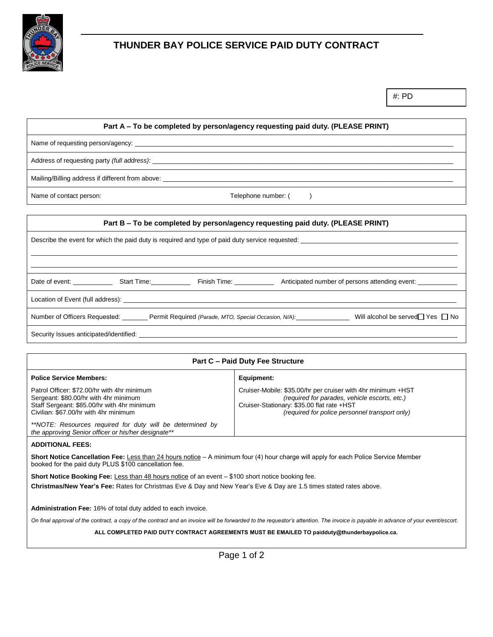

## **THUNDER BAY POLICE SERVICE PAID DUTY CONTRACT**

### **Part A – To be completed by person/agency requesting paid duty. (PLEASE PRINT)**

Name of requesting person/agency:

Address of requesting party *(full address)*:

Mailing/Billing address if different from above:

Name of contact person: Telephone number: ( )

# **Part B – To be completed by person/agency requesting paid duty. (PLEASE PRINT)** Describe the event for which the paid duty is required and type of paid duty service requested: \_\_\_\_\_\_\_\_\_\_\_\_\_\_\_\_\_\_\_\_\_\_\_\_\_\_\_\_\_\_\_\_\_\_\_\_\_\_\_\_\_\_\_\_\_\_\_\_\_\_\_\_\_\_\_\_\_\_\_\_\_\_\_\_\_\_\_\_\_\_\_\_\_\_\_\_\_\_\_\_\_\_\_\_\_\_\_\_\_\_\_\_\_\_\_\_\_\_\_\_\_\_\_\_\_\_\_\_\_\_\_\_\_\_\_\_\_\_\_ \_\_\_\_\_\_\_\_\_\_\_\_\_\_\_\_\_\_\_\_\_\_\_\_\_\_\_\_\_\_\_\_\_\_\_\_\_\_\_\_\_\_\_\_\_\_\_\_\_\_\_\_\_\_\_\_\_\_\_\_\_\_\_\_\_\_\_\_\_\_\_\_\_\_\_\_\_\_\_\_\_\_\_\_\_\_\_\_\_\_\_\_\_\_\_\_\_\_\_\_\_\_\_\_\_\_\_\_\_\_\_\_\_\_\_\_\_\_\_ Date of event: \_\_\_\_\_\_\_\_\_\_\_\_\_\_\_\_ Start Time: \_\_\_\_\_\_\_\_\_\_\_\_\_\_\_ Finish Time: \_\_\_\_\_\_\_\_\_\_\_\_\_\_\_ Anticipated number of persons attending event: Location of Event (full address): \_\_\_\_\_\_\_\_\_\_\_\_\_\_\_\_\_\_\_\_\_\_\_\_\_\_\_\_\_\_\_\_\_\_\_\_\_\_\_\_\_\_\_\_\_\_\_\_\_\_\_\_\_\_\_\_\_\_\_\_\_\_\_\_\_\_\_\_\_\_\_\_\_\_\_\_\_\_\_\_\_\_\_\_\_\_\_\_\_\_\_\_\_ Number of Officers Requested: \_\_\_\_\_\_\_ Permit Required *(Parade, MTO, Special Occasion, N/A)*: \_\_\_\_\_\_\_\_\_\_\_\_\_\_\_\_\_ Will alcohol be served□ Yes □ No Security Issues anticipated/identified: \_

| <b>Part C - Paid Duty Fee Structure</b>                                                                                                                                                      |                                                                                                                                                                                                               |  |  |  |
|----------------------------------------------------------------------------------------------------------------------------------------------------------------------------------------------|---------------------------------------------------------------------------------------------------------------------------------------------------------------------------------------------------------------|--|--|--|
| <b>Police Service Members:</b>                                                                                                                                                               | Equipment:                                                                                                                                                                                                    |  |  |  |
| Patrol Officer: \$72.00/hr with 4hr minimum<br>Sergeant: \$80.00/hr with 4hr minimum<br>Staff Sergeant: \$85.00/hr with 4hr minimum<br>Civilian: \$67.00/hr with 4hr minimum                 | Cruiser-Mobile: \$35.00/hr per cruiser with 4hr minimum +HST<br>(required for parades, vehicle escorts, etc.)<br>Cruiser-Stationary: \$35.00 flat rate +HST<br>(required for police personnel transport only) |  |  |  |
| **NOTE: Resources required for duty will be determined by<br>the approving Senior officer or his/her designate**                                                                             |                                                                                                                                                                                                               |  |  |  |
| <b>ADDITIONAL FEES:</b>                                                                                                                                                                      |                                                                                                                                                                                                               |  |  |  |
| Short Notice Cancellation Fee: Less than 24 hours notice – A minimum four (4) hour charge will apply for each Police Service Member<br>booked for the paid duty PLUS \$100 cancellation fee. |                                                                                                                                                                                                               |  |  |  |

**Short Notice Booking Fee:** Less than 48 hours notice of an event – \$100 short notice booking fee. **Christmas/New Year's Fee:** Rates for Christmas Eve & Day and New Year's Eve & Day are 1.5 times stated rates above.

**Administration Fee:** 16% of total duty added to each invoice.

*On final approval of the contract, a copy of the contract and an invoice will be forwarded to the requestor's attention. The invoice is payable in advance of your event/escort.*

**ALL COMPLETED PAID DUTY CONTRACT AGREEMENTS MUST BE EMAILED TO paidduty@thunderbaypolice.ca.**